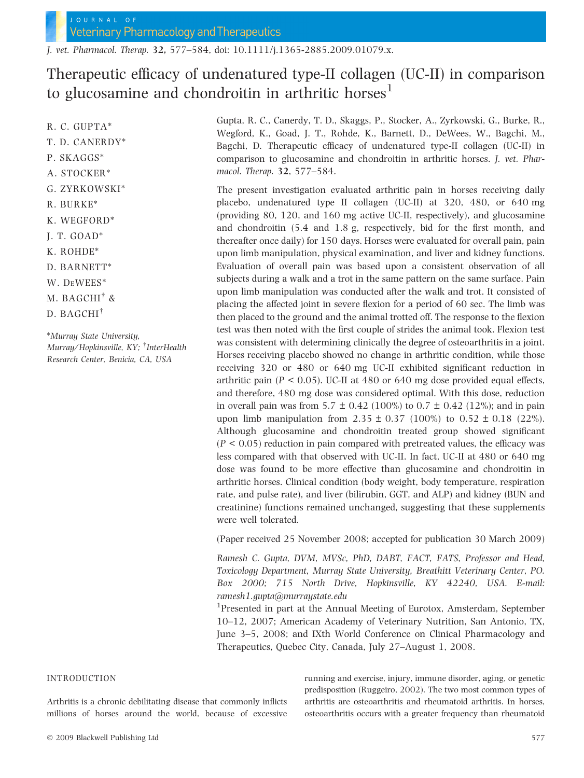J. vet. Pharmacol. Therap. 32, 577–584, doi: 10.1111/j.1365-2885.2009.01079.x.

# Therapeutic efficacy of undenatured type-II collagen (UC-II) in comparison to glucosamine and chondroitin in arthritic horses<sup>1</sup>

R. C. GUPTA\* T. D. CANERDY\* P. SKAGGS\* A. STOCKER\* G. ZYRKOWSKI\* R. BURKE\* K. WEGFORD\* J. T. GOAD\* K. ROHDE\* D. BARNETT\* W. DEWEES\*  $\mathrm M.~\mathrm BAGCHI^\dagger$  &  $D.$  BAGCHI $^\dagger$ \*Murray State University, Murray/Hopkinsville, KY; <sup>†</sup>InterHealth

Research Center, Benicia, CA, USA

Gupta, R. C., Canerdy, T. D., Skaggs, P., Stocker, A., Zyrkowski, G., Burke, R., Wegford, K., Goad, J. T., Rohde, K., Barnett, D., DeWees, W., Bagchi, M., Bagchi, D. Therapeutic efficacy of undenatured type-II collagen (UC-II) in comparison to glucosamine and chondroitin in arthritic horses. J. vet. Pharmacol. Therap. 32, 577–584.

The present investigation evaluated arthritic pain in horses receiving daily placebo, undenatured type II collagen (UC-II) at 320, 480, or 640 mg (providing 80, 120, and 160 mg active UC-II, respectively), and glucosamine and chondroitin (5.4 and 1.8 g, respectively, bid for the first month, and thereafter once daily) for 150 days. Horses were evaluated for overall pain, pain upon limb manipulation, physical examination, and liver and kidney functions. Evaluation of overall pain was based upon a consistent observation of all subjects during a walk and a trot in the same pattern on the same surface. Pain upon limb manipulation was conducted after the walk and trot. It consisted of placing the affected joint in severe flexion for a period of 60 sec. The limb was then placed to the ground and the animal trotted off. The response to the flexion test was then noted with the first couple of strides the animal took. Flexion test was consistent with determining clinically the degree of osteoarthritis in a joint. Horses receiving placebo showed no change in arthritic condition, while those receiving 320 or 480 or 640 mg UC-II exhibited significant reduction in arthritic pain ( $P < 0.05$ ). UC-II at 480 or 640 mg dose provided equal effects, and therefore, 480 mg dose was considered optimal. With this dose, reduction in overall pain was from 5.7  $\pm$  0.42 (100%) to 0.7  $\pm$  0.42 (12%); and in pain upon limb manipulation from  $2.35 \pm 0.37$  (100%) to  $0.52 \pm 0.18$  (22%). Although glucosamine and chondroitin treated group showed significant  $(P < 0.05)$  reduction in pain compared with pretreated values, the efficacy was less compared with that observed with UC-II. In fact, UC-II at 480 or 640 mg dose was found to be more effective than glucosamine and chondroitin in arthritic horses. Clinical condition (body weight, body temperature, respiration rate, and pulse rate), and liver (bilirubin, GGT, and ALP) and kidney (BUN and creatinine) functions remained unchanged, suggesting that these supplements were well tolerated.

(Paper received 25 November 2008; accepted for publication 30 March 2009)

Ramesh C. Gupta, DVM, MVSc, PhD, DABT, FACT, FATS, Professor and Head, Toxicology Department, Murray State University, Breathitt Veterinary Center, PO. Box 2000; 715 North Drive, Hopkinsville, KY 42240, USA. E-mail: ramesh1.gupta@murraystate.edu

<sup>1</sup>Presented in part at the Annual Meeting of Eurotox, Amsterdam, September 10–12, 2007; American Academy of Veterinary Nutrition, San Antonio, TX, June 3–5, 2008; and IXth World Conference on Clinical Pharmacology and Therapeutics, Quebec City, Canada, July 27–August 1, 2008.

INTRODUCTION

Arthritis is a chronic debilitating disease that commonly inflicts millions of horses around the world, because of excessive

running and exercise, injury, immune disorder, aging, or genetic predisposition (Ruggeiro, 2002). The two most common types of arthritis are osteoarthritis and rheumatoid arthritis. In horses, osteoarthritis occurs with a greater frequency than rheumatoid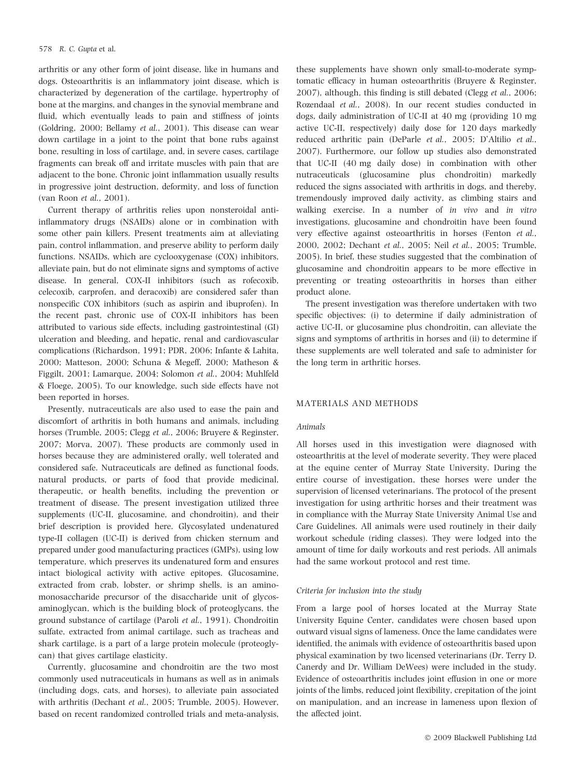arthritis or any other form of joint disease, like in humans and dogs. Osteoarthritis is an inflammatory joint disease, which is characterized by degeneration of the cartilage, hypertrophy of bone at the margins, and changes in the synovial membrane and fluid, which eventually leads to pain and stiffness of joints (Goldring, 2000; Bellamy et al., 2001). This disease can wear down cartilage in a joint to the point that bone rubs against bone, resulting in loss of cartilage, and, in severe cases, cartilage fragments can break off and irritate muscles with pain that are adjacent to the bone. Chronic joint inflammation usually results in progressive joint destruction, deformity, and loss of function (van Roon et al., 2001).

Current therapy of arthritis relies upon nonsteroidal antiinflammatory drugs (NSAIDs) alone or in combination with some other pain killers. Present treatments aim at alleviating pain, control inflammation, and preserve ability to perform daily functions. NSAIDs, which are cyclooxygenase (COX) inhibitors, alleviate pain, but do not eliminate signs and symptoms of active disease. In general, COX-II inhibitors (such as rofecoxib, celecoxib, carprofen, and deracoxib) are considered safer than nonspecific COX inhibitors (such as aspirin and ibuprofen). In the recent past, chronic use of COX-II inhibitors has been attributed to various side effects, including gastrointestinal (GI) ulceration and bleeding, and hepatic, renal and cardiovascular complications (Richardson, 1991; PDR, 2006; Infante & Lahita, 2000; Matteson, 2000; Schuna & Megeff, 2000; Matheson & Figgilt, 2001; Lamarque, 2004; Solomon et al., 2004; Muhlfeld & Floege, 2005). To our knowledge, such side effects have not been reported in horses.

Presently, nutraceuticals are also used to ease the pain and discomfort of arthritis in both humans and animals, including horses (Trumble, 2005; Clegg et al., 2006; Bruyere & Reginster, 2007; Morva, 2007). These products are commonly used in horses because they are administered orally, well tolerated and considered safe. Nutraceuticals are defined as functional foods, natural products, or parts of food that provide medicinal, therapeutic, or health benefits, including the prevention or treatment of disease. The present investigation utilized three supplements (UC-II, glucosamine, and chondroitin), and their brief description is provided here. Glycosylated undenatured type-II collagen (UC-II) is derived from chicken sternum and prepared under good manufacturing practices (GMPs), using low temperature, which preserves its undenatured form and ensures intact biological activity with active epitopes. Glucosamine, extracted from crab, lobster, or shrimp shells, is an aminomonosaccharide precursor of the disaccharide unit of glycosaminoglycan, which is the building block of proteoglycans, the ground substance of cartilage (Paroli et al., 1991). Chondroitin sulfate, extracted from animal cartilage, such as tracheas and shark cartilage, is a part of a large protein molecule (proteoglycan) that gives cartilage elasticity.

Currently, glucosamine and chondroitin are the two most commonly used nutraceuticals in humans as well as in animals (including dogs, cats, and horses), to alleviate pain associated with arthritis (Dechant et al., 2005; Trumble, 2005). However, based on recent randomized controlled trials and meta-analysis, these supplements have shown only small-to-moderate symptomatic efficacy in human osteoarthritis (Bruyere & Reginster, 2007), although, this finding is still debated (Clegg et al., 2006; Rozendaal et al., 2008). In our recent studies conducted in dogs, daily administration of UC-II at 40 mg (providing 10 mg active UC-II, respectively) daily dose for 120 days markedly reduced arthritic pain (DeParle et al., 2005; D'Altilio et al., 2007). Furthermore, our follow up studies also demonstrated that UC-II (40 mg daily dose) in combination with other nutraceuticals (glucosamine plus chondroitin) markedly reduced the signs associated with arthritis in dogs, and thereby, tremendously improved daily activity, as climbing stairs and walking exercise. In a number of in vivo and in vitro investigations, glucosamine and chondroitin have been found very effective against osteoarthritis in horses (Fenton et al., 2000, 2002; Dechant et al., 2005; Neil et al., 2005; Trumble, 2005). In brief, these studies suggested that the combination of glucosamine and chondroitin appears to be more effective in preventing or treating osteoarthritis in horses than either product alone.

The present investigation was therefore undertaken with two specific objectives: (i) to determine if daily administration of active UC-II, or glucosamine plus chondroitin, can alleviate the signs and symptoms of arthritis in horses and (ii) to determine if these supplements are well tolerated and safe to administer for the long term in arthritic horses.

## MATERIALS AND METHODS

#### Animals

All horses used in this investigation were diagnosed with osteoarthritis at the level of moderate severity. They were placed at the equine center of Murray State University. During the entire course of investigation, these horses were under the supervision of licensed veterinarians. The protocol of the present investigation for using arthritic horses and their treatment was in compliance with the Murray State University Animal Use and Care Guidelines. All animals were used routinely in their daily workout schedule (riding classes). They were lodged into the amount of time for daily workouts and rest periods. All animals had the same workout protocol and rest time.

#### Criteria for inclusion into the study

From a large pool of horses located at the Murray State University Equine Center, candidates were chosen based upon outward visual signs of lameness. Once the lame candidates were identified, the animals with evidence of osteoarthritis based upon physical examination by two licensed veterinarians (Dr. Terry D. Canerdy and Dr. William DeWees) were included in the study. Evidence of osteoarthritis includes joint effusion in one or more joints of the limbs, reduced joint flexibility, crepitation of the joint on manipulation, and an increase in lameness upon flexion of the affected joint.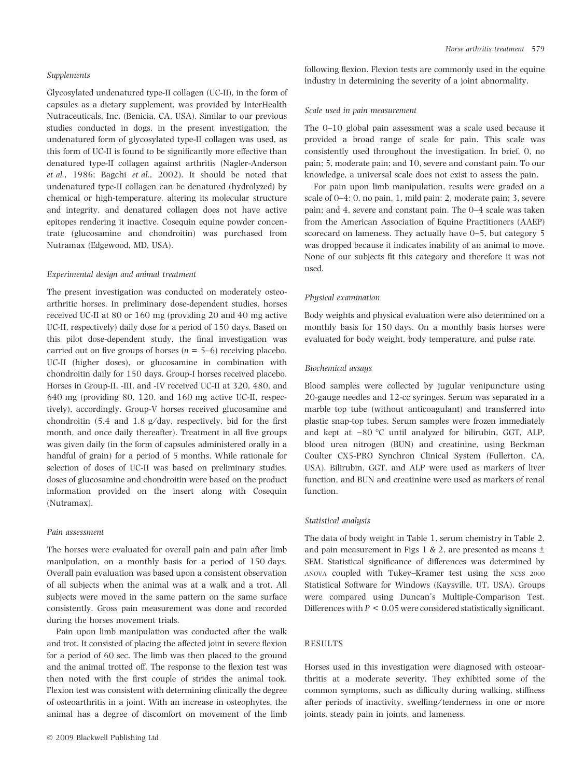### Supplements

Glycosylated undenatured type-II collagen (UC-II), in the form of capsules as a dietary supplement, was provided by InterHealth Nutraceuticals, Inc. (Benicia, CA, USA). Similar to our previous studies conducted in dogs, in the present investigation, the undenatured form of glycosylated type-II collagen was used, as this form of UC-II is found to be significantly more effective than denatured type-II collagen against arthritis (Nagler-Anderson et al., 1986; Bagchi et al., 2002). It should be noted that undenatured type-II collagen can be denatured (hydrolyzed) by chemical or high-temperature, altering its molecular structure and integrity, and denatured collagen does not have active epitopes rendering it inactive. Cosequin equine powder concentrate (glucosamine and chondroitin) was purchased from Nutramax (Edgewood, MD, USA).

## Experimental design and animal treatment

The present investigation was conducted on moderately osteoarthritic horses. In preliminary dose-dependent studies, horses received UC-II at 80 or 160 mg (providing 20 and 40 mg active UC-II, respectively) daily dose for a period of 150 days. Based on this pilot dose-dependent study, the final investigation was carried out on five groups of horses ( $n = 5-6$ ) receiving placebo, UC-II (higher doses), or glucosamine in combination with chondroitin daily for 150 days. Group-I horses received placebo. Horses in Group-II, -III, and -IV received UC-II at 320, 480, and 640 mg (providing 80, 120, and 160 mg active UC-II, respectively), accordingly. Group-V horses received glucosamine and chondroitin  $(5.4 \text{ and } 1.8 \text{ g/day})$ , respectively, bid for the first month, and once daily thereafter). Treatment in all five groups was given daily (in the form of capsules administered orally in a handful of grain) for a period of 5 months. While rationale for selection of doses of UC-II was based on preliminary studies, doses of glucosamine and chondroitin were based on the product information provided on the insert along with Cosequin (Nutramax).

### Pain assessment

The horses were evaluated for overall pain and pain after limb manipulation, on a monthly basis for a period of 150 days. Overall pain evaluation was based upon a consistent observation of all subjects when the animal was at a walk and a trot. All subjects were moved in the same pattern on the same surface consistently. Gross pain measurement was done and recorded during the horses movement trials.

Pain upon limb manipulation was conducted after the walk and trot. It consisted of placing the affected joint in severe flexion for a period of 60 sec. The limb was then placed to the ground and the animal trotted off. The response to the flexion test was then noted with the first couple of strides the animal took. Flexion test was consistent with determining clinically the degree of osteoarthritis in a joint. With an increase in osteophytes, the animal has a degree of discomfort on movement of the limb

following flexion. Flexion tests are commonly used in the equine industry in determining the severity of a joint abnormality.

#### Scale used in pain measurement

The 0–10 global pain assessment was a scale used because it provided a broad range of scale for pain. This scale was consistently used throughout the investigation. In brief, 0, no pain; 5, moderate pain; and 10, severe and constant pain. To our knowledge, a universal scale does not exist to assess the pain.

For pain upon limb manipulation, results were graded on a scale of 0–4: 0, no pain, 1, mild pain; 2, moderate pain; 3, severe pain; and 4, severe and constant pain. The 0–4 scale was taken from the American Association of Equine Practitioners (AAEP) scorecard on lameness. They actually have 0–5, but category 5 was dropped because it indicates inability of an animal to move. None of our subjects fit this category and therefore it was not used.

#### Physical examination

Body weights and physical evaluation were also determined on a monthly basis for 150 days. On a monthly basis horses were evaluated for body weight, body temperature, and pulse rate.

## Biochemical assays

Blood samples were collected by jugular venipuncture using 20-gauge needles and 12-cc syringes. Serum was separated in a marble top tube (without anticoagulant) and transferred into plastic snap-top tubes. Serum samples were frozen immediately and kept at  $-80$  °C until analyzed for bilirubin, GGT, ALP, blood urea nitrogen (BUN) and creatinine, using Beckman Coulter CX5-PRO Synchron Clinical System (Fullerton, CA, USA). Bilirubin, GGT, and ALP were used as markers of liver function, and BUN and creatinine were used as markers of renal function.

### Statistical analysis

The data of body weight in Table 1, serum chemistry in Table 2, and pain measurement in Figs 1 & 2, are presented as means ± SEM. Statistical significance of differences was determined by ANOVA coupled with Tukey–Kramer test using the NCSS 2000 Statistical Software for Windows (Kaysville, UT, USA). Groups were compared using Duncan's Multiple-Comparison Test. Differences with  $P < 0.05$  were considered statistically significant.

### RESULTS

Horses used in this investigation were diagnosed with osteoarthritis at a moderate severity. They exhibited some of the common symptoms, such as difficulty during walking, stiffness after periods of inactivity, swelling/tenderness in one or more joints, steady pain in joints, and lameness.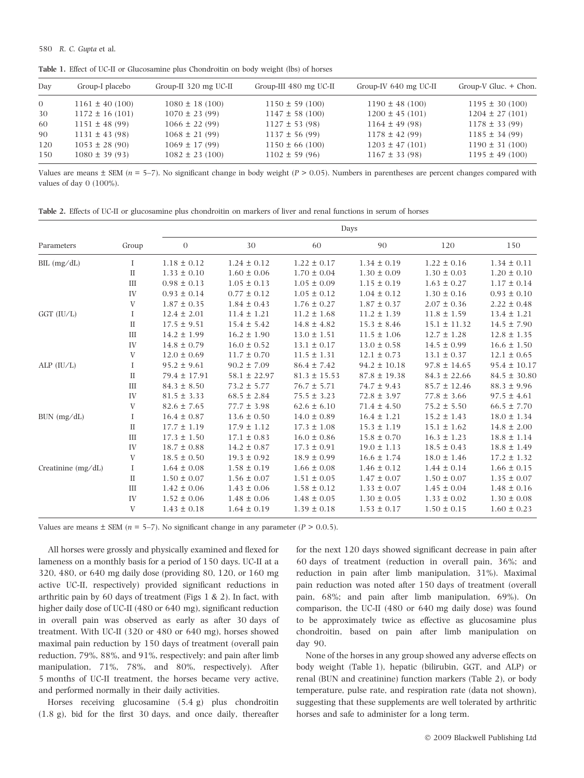Table 1. Effect of UC-II or Glucosamine plus Chondroitin on body weight (lbs) of horses

| Day      | Group-I placebo     | Group-II $320$ mg UC-II | Group-III 480 mg UC-II | Group-IV 640 mg UC-II | Group-V Gluc. + Chon. |  |
|----------|---------------------|-------------------------|------------------------|-----------------------|-----------------------|--|
| $\theta$ | $1161 \pm 40 (100)$ | $1080 \pm 18$ (100)     | $1150 \pm 59$ (100)    | $1190 \pm 48$ (100)   | $1195 \pm 30(100)$    |  |
| 30       | $1172 \pm 16$ (101) | $1070 \pm 23(99)$       | $1147 \pm 58$ (100)    | $1200 \pm 45$ (101)   | $1204 \pm 27$ (101)   |  |
| 60       | $1151 \pm 48(99)$   | $1066 \pm 22 (99)$      | $1127 \pm 53(98)$      | $1164 \pm 49$ (98)    | $1178 \pm 33(99)$     |  |
| 90       | $1131 \pm 43(98)$   | $1068 \pm 21(99)$       | $1137 \pm 56(99)$      | $1178 \pm 42(99)$     | $1185 \pm 34(99)$     |  |
| 120      | $1053 \pm 28$ (90)  | $1069 \pm 17(99)$       | $1150 \pm 66$ (100)    | $1203 \pm 47$ (101)   | $1190 \pm 31 (100)$   |  |
| 150      | $1080 \pm 39(93)$   | $1082 \pm 23$ (100)     | $1102 \pm 59(96)$      | $1167 \pm 33(98)$     | $1195 \pm 49$ (100)   |  |

Values are means  $\pm$  SEM ( $n = 5-7$ ). No significant change in body weight ( $P > 0.05$ ). Numbers in parentheses are percent changes compared with values of day 0 (100%).

Table 2. Effects of UC-II or glucosamine plus chondroitin on markers of liver and renal functions in serum of horses

|                      | Group                      | Days             |                  |                  |                  |                  |                  |
|----------------------|----------------------------|------------------|------------------|------------------|------------------|------------------|------------------|
| Parameters           |                            | $\boldsymbol{0}$ | 30               | 60               | 90               | 120              | 150              |
| $BIL$ (mg/dL)        | Ι                          | $1.18 \pm 0.12$  | $1.24 \pm 0.12$  | $1.22 \pm 0.17$  | $1.34 \pm 0.19$  | $1.22 \pm 0.16$  | $1.34 \pm 0.11$  |
|                      | $\mathop{\rm II}\nolimits$ | $1.33 \pm 0.10$  | $1.60 \pm 0.06$  | $1.70 \pm 0.04$  | $1.30 \pm 0.09$  | $1.30 \pm 0.03$  | $1.20 \pm 0.10$  |
|                      | Ш                          | $0.98 \pm 0.13$  | $1.05 \pm 0.13$  | $1.05 \pm 0.09$  | $1.15 \pm 0.19$  | $1.63 \pm 0.27$  | $1.17 \pm 0.14$  |
|                      | IV                         | $0.93 \pm 0.14$  | $0.77 \pm 0.12$  | $1.05 \pm 0.12$  | $1.04 \pm 0.12$  | $1.30 \pm 0.16$  | $0.93 \pm 0.10$  |
|                      | V                          | $1.87 \pm 0.35$  | $1.84 \pm 0.43$  | $1.76 \pm 0.27$  | $1.87 \pm 0.37$  | $2.07 \pm 0.36$  | $2.22 \pm 0.48$  |
| $GGT$ (IU/L)         | Ι                          | $12.4 \pm 2.01$  | $11.4 \pm 1.21$  | $11.2 \pm 1.68$  | $11.2 \pm 1.39$  | $11.8 \pm 1.59$  | $13.4 \pm 1.21$  |
|                      | $\mathbf{I}$               | $17.5 \pm 9.51$  | $15.4 \pm 5.42$  | $14.8 \pm 4.82$  | $15.3 \pm 8.46$  | $15.1 \pm 11.32$ | $14.5 \pm 7.90$  |
|                      | Ш                          | $14.2 \pm 1.99$  | $16.2 \pm 1.90$  | $13.0 \pm 1.51$  | $11.5 \pm 1.06$  | $12.7 \pm 1.28$  | $12.8 \pm 1.35$  |
|                      | IV                         | $14.8 \pm 0.79$  | $16.0 \pm 0.52$  | $13.1 \pm 0.17$  | $13.0 \pm 0.58$  | $14.5 \pm 0.99$  | $16.6 \pm 1.50$  |
|                      | V                          | $12.0 \pm 0.69$  | $11.7 \pm 0.70$  | $11.5 \pm 1.31$  | $12.1 \pm 0.73$  | $13.1 \pm 0.37$  | $12.1 \pm 0.65$  |
| ALP $(IU/L)$         | I                          | $95.2 \pm 9.61$  | $90.2 \pm 7.09$  | $86.4 \pm 7.42$  | $94.2 \pm 10.18$ | $97.8 \pm 14.65$ | $95.4 \pm 10.17$ |
|                      | $\rm II$                   | $79.4 \pm 17.91$ | $58.1 \pm 22.97$ | $81.3 \pm 15.53$ | $87.8 \pm 19.38$ | $84.3 \pm 22.66$ | $84.5 \pm 30.80$ |
|                      | Ш                          | $84.3 \pm 8.50$  | $73.2 \pm 5.77$  | $76.7 \pm 5.71$  | $74.7 \pm 9.43$  | $85.7 \pm 12.46$ | $88.3 \pm 9.96$  |
|                      | IV                         | $81.5 \pm 3.33$  | $68.5 \pm 2.84$  | $75.5 \pm 3.23$  | $72.8 \pm 3.97$  | $77.8 \pm 3.66$  | $97.5 \pm 4.61$  |
|                      | V                          | $82.6 \pm 7.65$  | $77.7 \pm 3.98$  | $62.6 \pm 6.10$  | $71.4 \pm 4.50$  | $75.2 \pm 5.50$  | $66.5 \pm 7.70$  |
| $BUN$ (mg/dL)        | Ι                          | $16.4 \pm 0.87$  | $13.6 \pm 0.50$  | $14.0 \pm 0.89$  | $16.4 \pm 1.21$  | $15.2 \pm 1.43$  | $18.0 \pm 1.34$  |
|                      | $\rm II$                   | $17.7 \pm 1.19$  | $17.9 \pm 1.12$  | $17.3 \pm 1.08$  | $15.3 \pm 1.19$  | $15.1 \pm 1.62$  | $14.8 \pm 2.00$  |
|                      | Ш                          | $17.3 \pm 1.50$  | $17.1 \pm 0.83$  | $16.0 \pm 0.86$  | $15.8 \pm 0.70$  | $16.3 \pm 1.23$  | $18.8 \pm 1.14$  |
|                      | IV                         | $18.7 \pm 0.88$  | $14.2 \pm 0.87$  | $17.3 \pm 0.91$  | $19.0 \pm 1.13$  | $18.5 \pm 0.43$  | $18.8 \pm 1.49$  |
|                      | V                          | $18.5 \pm 0.50$  | $19.3 \pm 0.92$  | $18.9 \pm 0.99$  | $16.6 \pm 1.74$  | $18.0 \pm 1.46$  | $17.2 \pm 1.32$  |
| Creatinine $(mg/dL)$ | I                          | $1.64 \pm 0.08$  | $1.58 \pm 0.19$  | $1.66 \pm 0.08$  | $1.46 \pm 0.12$  | $1.44 \pm 0.14$  | $1.66 \pm 0.15$  |
|                      | $\rm II$                   | $1.50 \pm 0.07$  | $1.56 \pm 0.07$  | $1.51 \pm 0.05$  | $1.47 \pm 0.07$  | $1.50 \pm 0.07$  | $1.35 \pm 0.07$  |
|                      | Ш                          | $1.42 \pm 0.06$  | $1.43 \pm 0.06$  | $1.58 \pm 0.12$  | $1.33 \pm 0.07$  | $1.45 \pm 0.04$  | $1.48 \pm 0.16$  |
|                      | IV                         | $1.52 \pm 0.06$  | $1.48 \pm 0.06$  | $1.48 \pm 0.05$  | $1.30 \pm 0.05$  | $1.33 \pm 0.02$  | $1.30 \pm 0.08$  |
|                      | V                          | $1.43 \pm 0.18$  | $1.64 \pm 0.19$  | $1.39 \pm 0.18$  | $1.53 \pm 0.17$  | $1.50 \pm 0.15$  | $1.60 \pm 0.23$  |

Values are means  $\pm$  SEM ( $n = 5-7$ ). No significant change in any parameter ( $P > 0.0.5$ ).

All horses were grossly and physically examined and flexed for lameness on a monthly basis for a period of 150 days. UC-II at a 320, 480, or 640 mg daily dose (providing 80, 120, or 160 mg active UC-II, respectively) provided significant reductions in arthritic pain by 60 days of treatment (Figs 1 & 2). In fact, with higher daily dose of UC-II (480 or 640 mg), significant reduction in overall pain was observed as early as after 30 days of treatment. With UC-II (320 or 480 or 640 mg), horses showed maximal pain reduction by 150 days of treatment (overall pain reduction, 79%, 88%, and 91%, respectively; and pain after limb manipulation, 71%, 78%, and 80%, respectively). After 5 months of UC-II treatment, the horses became very active, and performed normally in their daily activities.

Horses receiving glucosamine (5.4 g) plus chondroitin (1.8 g), bid for the first 30 days, and once daily, thereafter for the next 120 days showed significant decrease in pain after 60 days of treatment (reduction in overall pain, 36%; and reduction in pain after limb manipulation, 31%). Maximal pain reduction was noted after 150 days of treatment (overall pain, 68%; and pain after limb manipulation, 69%). On comparison, the UC-II (480 or 640 mg daily dose) was found to be approximately twice as effective as glucosamine plus chondroitin, based on pain after limb manipulation on day 90.

None of the horses in any group showed any adverse effects on body weight (Table 1), hepatic (bilirubin, GGT, and ALP) or renal (BUN and creatinine) function markers (Table 2), or body temperature, pulse rate, and respiration rate (data not shown), suggesting that these supplements are well tolerated by arthritic horses and safe to administer for a long term.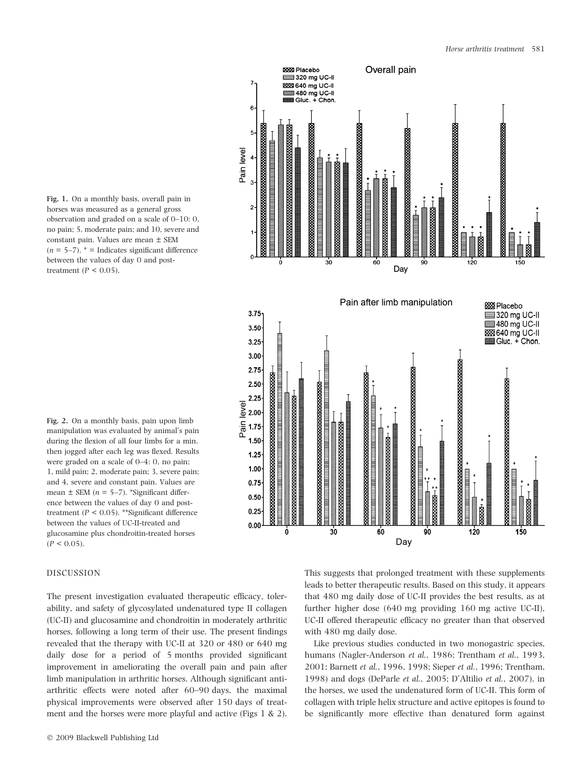Fig. 1. On a monthly basis, overall pain in horses was measured as a general gross observation and graded on a scale of 0–10: 0, no pain; 5, moderate pain; and 10, severe and constant pain. Values are mean ± SEM  $(n = 5-7)$ . \* = Indicates significant difference between the values of day 0 and posttreatment ( $P < 0.05$ ).

Fig. 2. On a monthly basis, pain upon limb manipulation was evaluated by animal's pain during the flexion of all four limbs for a min. then jogged after each leg was flexed. Results were graded on a scale of 0–4: 0, no pain; 1, mild pain; 2, moderate pain; 3, severe pain; and 4, severe and constant pain. Values are mean  $\pm$  SEM ( $n = 5-7$ ). \*Significant difference between the values of day 0 and posttreatment ( $P < 0.05$ ). \*\*Significant difference between the values of UC-II-treated and glucosamine plus chondroitin-treated horses  $(P < 0.05)$ .

## DISCUSSION

The present investigation evaluated therapeutic efficacy, tolerability, and safety of glycosylated undenatured type II collagen (UC-II) and glucosamine and chondroitin in moderately arthritic horses, following a long term of their use. The present findings revealed that the therapy with UC-II at 320 or 480 or 640 mg daily dose for a period of 5 months provided significant improvement in ameliorating the overall pain and pain after limb manipulation in arthritic horses. Although significant antiarthritic effects were noted after 60–90 days, the maximal physical improvements were observed after 150 days of treatment and the horses were more playful and active (Figs 1 & 2). This suggests that prolonged treatment with these supplements leads to better therapeutic results. Based on this study, it appears that 480 mg daily dose of UC-II provides the best results, as at further higher dose (640 mg providing 160 mg active UC-II), UC-II offered therapeutic efficacy no greater than that observed with 480 mg daily dose.

Like previous studies conducted in two monogastric species, humans (Nagler-Anderson et al., 1986; Trentham et al., 1993, 2001; Barnett et al., 1996, 1998; Sieper et al., 1996; Trentham, 1998) and dogs (DeParle et al., 2005; D'Altilio et al., 2007), in the horses, we used the undenatured form of UC-II. This form of collagen with triple helix structure and active epitopes is found to be significantly more effective than denatured form against





Overall pain

**ESSI Placebo**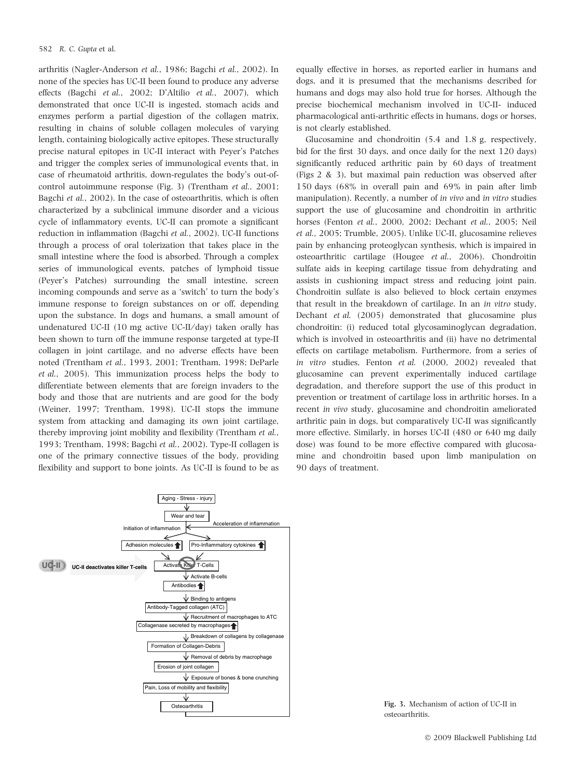arthritis (Nagler-Anderson et al., 1986; Bagchi et al., 2002). In none of the species has UC-II been found to produce any adverse effects (Bagchi et al., 2002; D'Altilio et al., 2007), which demonstrated that once UC-II is ingested, stomach acids and enzymes perform a partial digestion of the collagen matrix, resulting in chains of soluble collagen molecules of varying length, containing biologically active epitopes. These structurally precise natural epitopes in UC-II interact with Peyer's Patches and trigger the complex series of immunological events that, in case of rheumatoid arthritis, down-regulates the body's out-ofcontrol autoimmune response (Fig. 3) (Trentham et al., 2001; Bagchi et al., 2002). In the case of osteoarthritis, which is often characterized by a subclinical immune disorder and a vicious cycle of inflammatory events, UC-II can promote a significant reduction in inflammation (Bagchi et al., 2002). UC-II functions through a process of oral tolerization that takes place in the small intestine where the food is absorbed. Through a complex series of immunological events, patches of lymphoid tissue (Peyer's Patches) surrounding the small intestine, screen incoming compounds and serve as a 'switch' to turn the body's immune response to foreign substances on or off, depending upon the substance. In dogs and humans, a small amount of undenatured UC-II (10 mg active UC-II⁄ day) taken orally has been shown to turn off the immune response targeted at type-II collagen in joint cartilage, and no adverse effects have been noted (Trentham et al., 1993, 2001; Trentham, 1998; DeParle et al., 2005). This immunization process helps the body to differentiate between elements that are foreign invaders to the body and those that are nutrients and are good for the body (Weiner, 1997; Trentham, 1998). UC-II stops the immune system from attacking and damaging its own joint cartilage, thereby improving joint mobility and flexibility (Trentham et al., 1993; Trentham, 1998; Bagchi et al., 2002). Type-II collagen is one of the primary connective tissues of the body, providing flexibility and support to bone joints. As UC-II is found to be as equally effective in horses, as reported earlier in humans and dogs, and it is presumed that the mechanisms described for humans and dogs may also hold true for horses. Although the precise biochemical mechanism involved in UC-II- induced pharmacological anti-arthritic effects in humans, dogs or horses, is not clearly established.

Glucosamine and chondroitin (5.4 and 1.8 g, respectively, bid for the first 30 days, and once daily for the next 120 days) significantly reduced arthritic pain by 60 days of treatment (Figs 2 & 3), but maximal pain reduction was observed after 150 days (68% in overall pain and 69% in pain after limb manipulation). Recently, a number of in vivo and in vitro studies support the use of glucosamine and chondroitin in arthritic horses (Fenton et al., 2000, 2002; Dechant et al., 2005; Neil et al., 2005; Trumble, 2005). Unlike UC-II, glucosamine relieves pain by enhancing proteoglycan synthesis, which is impaired in osteoarthritic cartilage (Hougee et al., 2006). Chondroitin sulfate aids in keeping cartilage tissue from dehydrating and assists in cushioning impact stress and reducing joint pain. Chondroitin sulfate is also believed to block certain enzymes that result in the breakdown of cartilage. In an in vitro study, Dechant et al. (2005) demonstrated that glucosamine plus chondroitin: (i) reduced total glycosaminoglycan degradation, which is involved in osteoarthritis and (ii) have no detrimental effects on cartilage metabolism. Furthermore, from a series of in vitro studies, Fenton et al. (2000, 2002) revealed that glucosamine can prevent experimentally induced cartilage degradation, and therefore support the use of this product in prevention or treatment of cartilage loss in arthritic horses. In a recent in vivo study, glucosamine and chondroitin ameliorated arthritic pain in dogs, but comparatively UC-II was significantly more effective. Similarly, in horses UC-II (480 or 640 mg daily dose) was found to be more effective compared with glucosamine and chondroitin based upon limb manipulation on 90 days of treatment.



Fig. 3. Mechanism of action of UC-II in osteoarthritis.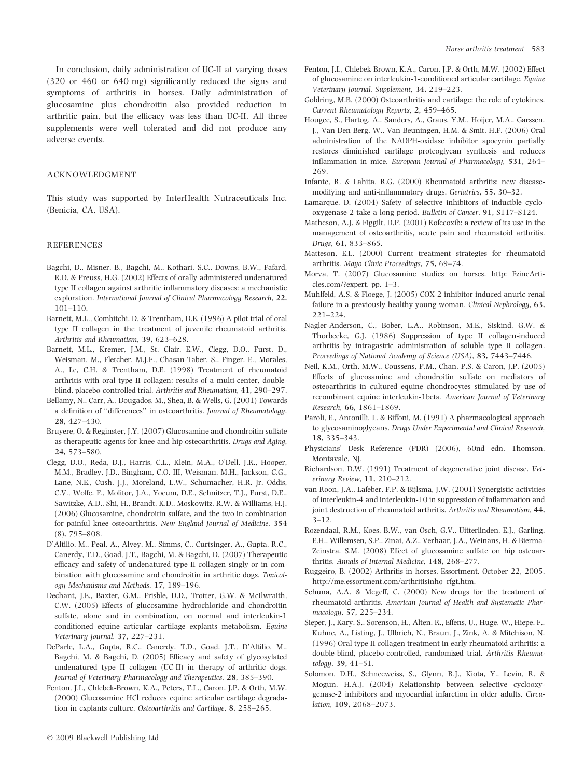In conclusion, daily administration of UC-II at varying doses (320 or 460 or 640 mg) significantly reduced the signs and symptoms of arthritis in horses. Daily administration of glucosamine plus chondroitin also provided reduction in arthritic pain, but the efficacy was less than UC-II. All three supplements were well tolerated and did not produce any adverse events.

## ACKNOWLEDGMENT

This study was supported by InterHealth Nutraceuticals Inc. (Benicia, CA, USA).

#### REFERENCES

- Bagchi, D., Misner, B., Bagchi, M., Kothari, S.C., Downs, B.W., Fafard, R.D. & Preuss, H.G. (2002) Effects of orally administered undenatured type II collagen against arthritic inflammatory diseases: a mechanistic exploration. International Journal of Clinical Pharmacology Research, 22, 101–110.
- Barnett, M.L., Combitchi, D. & Trentham, D.E. (1996) A pilot trial of oral type II collagen in the treatment of juvenile rheumatoid arthritis. Arthritis and Rheumatism, 39, 623–628.
- Barnett, M.L., Kremer, J.M., St. Clair, E.W., Clegg, D.O., Furst, D., Weisman, M., Fletcher, M.J.F., Chasan-Taber, S., Finger, E., Morales, A., Le, C.H. & Trentham, D.E. (1998) Treatment of rheumatoid arthritis with oral type II collagen: results of a multi-center, doubleblind, placebo-controlled trial. Arthritis and Rheumatism, 41, 290–297.
- Bellamy, N., Carr, A., Dougados, M., Shea, B. & Wells, G. (2001) Towards a definition of ''differences'' in osteoarthritis. Journal of Rheumatology, 28, 427–430.
- Bruyere, O. & Reginster, J.Y. (2007) Glucosamine and chondroitin sulfate as therapeutic agents for knee and hip osteoarthritis. Drugs and Aging, 24, 573–580.
- Clegg, D.O., Reda, D.J., Harris, C.L., Klein, M.A., O'Dell, J.R., Hooper, M.M., Bradley, J.D., Bingham, C.O. III, Weisman, M.H., Jackson, C.G., Lane, N.E., Cush, J.J., Moreland, L.W., Schumacher, H.R. Jr, Oddis, C.V., Wolfe, F., Molitor, J.A., Yocum, D.E., Schnitzer, T.J., Furst, D.E., Sawitzke, A.D., Shi, H., Brandt, K.D., Moskowitz, R.W. & Williams, H.J. (2006) Glucosamine, chondroitin sulfate, and the two in combination for painful knee osteoarthritis. New England Journal of Medicine, 354 (8), 795–808.
- D'Altilio, M., Peal, A., Alvey, M., Simms, C., Curtsinger, A., Gupta, R.C., Canerdy, T.D., Goad, J.T., Bagchi, M. & Bagchi, D. (2007) Therapeutic efficacy and safety of undenatured type II collagen singly or in combination with glucosamine and chondroitin in arthritic dogs. Toxicology Mechanisms and Methods, 17, 189–196.
- Dechant, J.E., Baxter, G.M., Frisble, D.D., Trotter, G.W. & McIlwraith, C.W. (2005) Effects of glucosamine hydrochloride and chondroitin sulfate, alone and in combination, on normal and interleukin-1 conditioned equine articular cartilage explants metabolism. Equine Veterinary Journal, 37, 227–231.
- DeParle, L.A., Gupta, R.C., Canerdy, T.D., Goad, J.T., D'Altilio, M., Bagchi, M. & Bagchi, D. (2005) Efficacy and safety of glycosylated undenatured type II collagen (UC-II) in therapy of arthritic dogs. Journal of Veterinary Pharmacology and Therapeutics, 28, 385–390.
- Fenton, J.I., Chlebek-Brown, K.A., Peters, T.L., Caron, J.P. & Orth, M.W. (2000) Glucosamine HCl reduces equine articular cartilage degradation in explants culture. Osteoarthritis and Cartilage, 8, 258–265.
- 

of glucosamine on interleukin-1-conditioned articular cartilage. Equine Veterinary Journal. Supplement, 34, 219–223. Goldring, M.B. (2000) Osteoarthritis and cartilage: the role of cytokines.

Fenton, J.I., Chlebek-Brown, K.A., Caron, J.P. & Orth, M.W. (2002) Effect

- Current Rheumatology Reports, 2, 459–465.
- Hougee, S., Hartog, A., Sanders, A., Graus, Y.M., Hoijer, M.A., Garssen, J., Van Den Berg, W., Van Beuningen, H.M. & Smit, H.F. (2006) Oral administration of the NADPH-oxidase inhibitor apocynin partially restores diminished cartilage proteoglycan synthesis and reduces inflammation in mice. European Journal of Pharmacology, 531, 264– 269.
- Infante, R. & Lahita, R.G. (2000) Rheumatoid arthritis: new diseasemodifying and anti-inflammatory drugs. Geriatrics, 55, 30–32.
- Lamarque, D. (2004) Safety of selective inhibitors of inducible cyclooxygenase-2 take a long period. Bulletin of Cancer, 91, S117–S124.
- Matheson, A.J. & Figgilt, D.P. (2001) Rofecoxib: a review of its use in the management of osteoarthritis, acute pain and rheumatoid arthritis. Drugs, 61, 833–865.
- Matteson, E.L. (2000) Current treatment strategies for rheumatoid arthritis. Mayo Clinic Proceedings, 75, 69–74.
- Morva, T. (2007) Glucosamine studies on horses. http: EzineArticles.com/?expert. pp. 1–3.
- Muhlfeld, A.S. & Floege, J. (2005) COX-2 inhibitor induced anuric renal failure in a previously healthy young woman. Clinical Nephrology, 63, 221–224.
- Nagler-Anderson, C., Bober, L.A., Robinson, M.E., Siskind, G.W. & Thorbecke, G.J. (1986) Suppression of type II collagen-induced arthritis by intragastric administration of soluble type II collagen. Proceedings of National Academy of Science (USA), 83, 7443–7446.
- Neil, K.M., Orth, M.W., Coussens, P.M., Chan, P.S. & Caron, J.P. (2005) Effects of glucosamine and chondroitin sulfate on mediators of osteoarthritis in cultured equine chondrocytes stimulated by use of recombinant equine interleukin-1beta. American Journal of Veterinary Research, 66, 1861–1869.
- Paroli, E., Antonilli, L. & Biffoni, M. (1991) A pharmacological approach to glycosaminoglycans. Drugs Under Experimental and Clinical Research, 18, 335–343.
- Physicians' Desk Reference (PDR) (2006), 60nd edn. Thomson, Montavale, NJ.
- Richardson, D.W. (1991) Treatment of degenerative joint disease. Veterinary Review, 11, 210–212.
- van Roon, J.A., Lafeber, F.P. & Bijlsma, J.W. (2001) Synergistic activities of interleukin-4 and interleukin-10 in suppression of inflammation and joint destruction of rheumatoid arthritis. Arthritis and Rheumatism, 44, 3–12.
- Rozendaal, R.M., Koes, B.W., van Osch, G.V., Uitterlinden, E.J., Garling, E.H., Willemsen, S.P., Zinai, A.Z., Verhaar, J.A., Weinans, H. & Bierma-Zeinstra, S.M. (2008) Effect of glucosamine sulfate on hip osteoarthritis. Annals of Internal Medicine, 148, 268–277.
- Ruggeiro, B. (2002) Arthritis in horses. Essortment. October 22, 2005. http://me.essortment.com/arthritisinho\_rfgt.htm.
- Schuna, A.A. & Megeff, C. (2000) New drugs for the treatment of rheumatoid arthritis. American Journal of Health and Systematic Pharmacology, 57, 225–234.
- Sieper, J., Kary, S., Sorenson, H., Alten, R., Effens, U., Huge, W., Hiepe, F., Kuhne, A., Listing, J., Ulbrich, N., Braun, J., Zink, A. & Mitchison, N. (1996) Oral type II collagen treatment in early rheumatoid arthritis: a double-blind, placebo-controlled, randomized trial. Arthritis Rheumatology, 39, 41–51.
- Solomon, D.H., Schneeweiss, S., Glynn, R.J., Kiota, Y., Levin, R. & Mogun, H.A.J. (2004) Relationship between selective cyclooxygenase-2 inhibitors and myocardial infarction in older adults. Circulation, 109, 2068–2073.